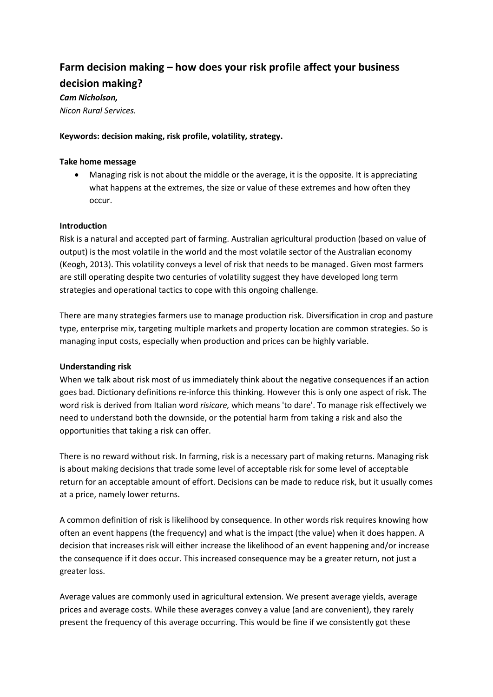# **Farm decision making – how does your risk profile affect your business decision making?**

# *Cam Nicholson,*

*Nicon Rural Services.*

# **Keywords: decision making, risk profile, volatility, strategy.**

## **Take home message**

 Managing risk is not about the middle or the average, it is the opposite. It is appreciating what happens at the extremes, the size or value of these extremes and how often they occur.

# **Introduction**

Risk is a natural and accepted part of farming. Australian agricultural production (based on value of output) is the most volatile in the world and the most volatile sector of the Australian economy (Keogh, 2013). This volatility conveys a level of risk that needs to be managed. Given most farmers are still operating despite two centuries of volatility suggest they have developed long term strategies and operational tactics to cope with this ongoing challenge.

There are many strategies farmers use to manage production risk. Diversification in crop and pasture type, enterprise mix, targeting multiple markets and property location are common strategies. So is managing input costs, especially when production and prices can be highly variable.

#### **Understanding risk**

When we talk about risk most of us immediately think about the negative consequences if an action goes bad. Dictionary definitions re-inforce this thinking. However this is only one aspect of risk. The word risk is derived from Italian word *risicare,* which means 'to dare'. To manage risk effectively we need to understand both the downside, or the potential harm from taking a risk and also the opportunities that taking a risk can offer.

There is no reward without risk. In farming, risk is a necessary part of making returns. Managing risk is about making decisions that trade some level of acceptable risk for some level of acceptable return for an acceptable amount of effort. Decisions can be made to reduce risk, but it usually comes at a price, namely lower returns.

A common definition of risk is likelihood by consequence. In other words risk requires knowing how often an event happens (the frequency) and what is the impact (the value) when it does happen. A decision that increases risk will either increase the likelihood of an event happening and/or increase the consequence if it does occur. This increased consequence may be a greater return, not just a greater loss.

Average values are commonly used in agricultural extension. We present average yields, average prices and average costs. While these averages convey a value (and are convenient), they rarely present the frequency of this average occurring. This would be fine if we consistently got these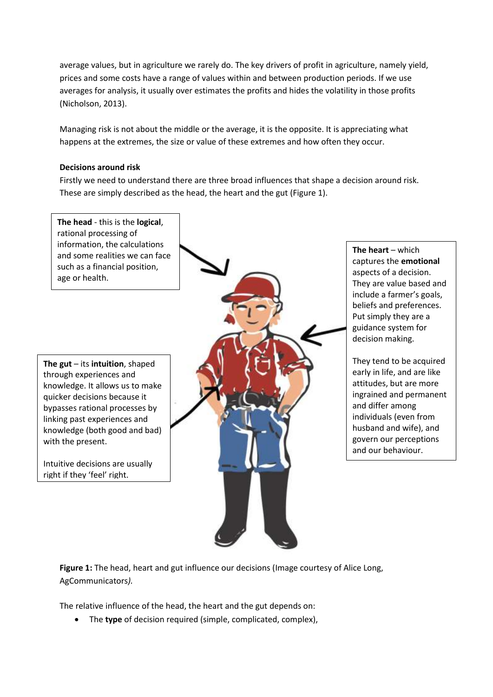average values, but in agriculture we rarely do. The key drivers of profit in agriculture, namely yield, prices and some costs have a range of values within and between production periods. If we use averages for analysis, it usually over estimates the profits and hides the volatility in those profits (Nicholson, 2013).

Managing risk is not about the middle or the average, it is the opposite. It is appreciating what happens at the extremes, the size or value of these extremes and how often they occur.

## **Decisions around risk**

Firstly we need to understand there are three broad influences that shape a decision around risk. These are simply described as the head, the heart and the gut (Figure 1).



Figure 1: The head, heart and gut influence our decisions (Image courtesy of Alice Long, AgCommunicators*).*

The relative influence of the head, the heart and the gut depends on:

The **type** of decision required (simple, complicated, complex),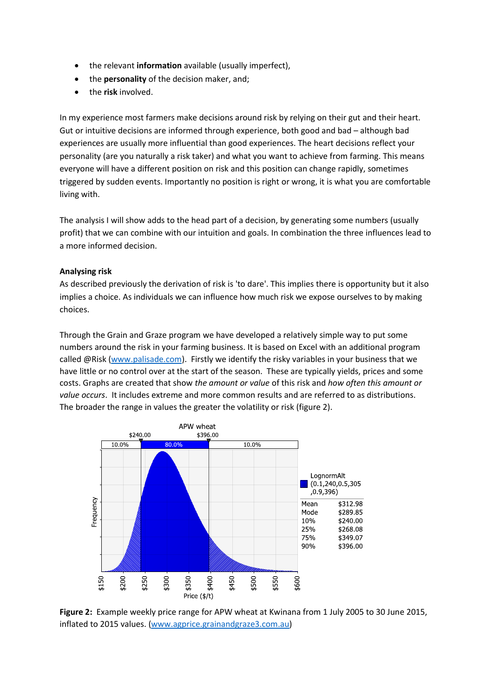- the relevant **information** available (usually imperfect),
- the **personality** of the decision maker, and;
- the **risk** involved.

In my experience most farmers make decisions around risk by relying on their gut and their heart. Gut or intuitive decisions are informed through experience, both good and bad – although bad experiences are usually more influential than good experiences. The heart decisions reflect your personality (are you naturally a risk taker) and what you want to achieve from farming. This means everyone will have a different position on risk and this position can change rapidly, sometimes triggered by sudden events. Importantly no position is right or wrong, it is what you are comfortable living with.

The analysis I will show adds to the head part of a decision, by generating some numbers (usually profit) that we can combine with our intuition and goals. In combination the three influences lead to a more informed decision.

# **Analysing risk**

As described previously the derivation of risk is 'to dare'. This implies there is opportunity but it also implies a choice. As individuals we can influence how much risk we expose ourselves to by making choices.

Through the Grain and Graze program we have developed a relatively simple way to put some numbers around the risk in your farming business. It is based on Excel with an additional program called @Risk [\(www.palisade.com\)](http://www.palisade.com/). Firstly we identify the risky variables in your business that we have little or no control over at the start of the season. These are typically yields, prices and some costs. Graphs are created that show *the amount or value* of this risk and *how often this amount or value occurs*. It includes extreme and more common results and are referred to as distributions. The broader the range in values the greater the volatility or risk (figure 2).